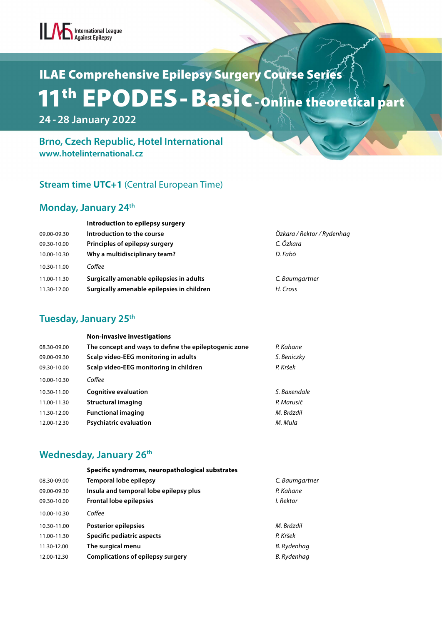# ILAE Comprehensive Epilepsy Surgery Course Series 11th EPODES- Basic- Online theoretical part

 **24 - 28 January 2022**

#### **Brno, Czech Republic, Hotel International www.hotelinternational.cz**

#### **Stream time UTC+1** (Central European Time)

#### **Monday, January 24th**

|             | Introduction to epilepsy surgery           |                            |
|-------------|--------------------------------------------|----------------------------|
| 09.00-09.30 | Introduction to the course                 | Özkara / Rektor / Rydenhag |
| 09.30-10.00 | Principles of epilepsy surgery             | C. Özkara                  |
| 10.00-10.30 | Why a multidisciplinary team?              | D. Fabó                    |
| 10.30-11.00 | Coffee                                     |                            |
| 11.00-11.30 | Surgically amenable epilepsies in adults   | C. Baumgartner             |
| 11.30-12.00 | Surgically amenable epilepsies in children | H. Cross                   |

#### **Tuesday, January 25th**

|             | <b>Non-invasive investigations</b>                    |              |
|-------------|-------------------------------------------------------|--------------|
| 08.30-09.00 | The concept and ways to define the epileptogenic zone | P. Kahane    |
| 09.00-09.30 | Scalp video-EEG monitoring in adults                  | S. Beniczky  |
| 09.30-10.00 | Scalp video-EEG monitoring in children                | P. Kršek     |
| 10.00-10.30 | Coffee                                                |              |
| 10.30-11.00 | Cognitive evaluation                                  | S. Baxendale |
| 11.00-11.30 | Structural imaging                                    | P. Marusič   |
| 11.30-12.00 | <b>Functional imaging</b>                             | M. Brázdil   |
| 12.00-12.30 | <b>Psychiatric evaluation</b>                         | M. Mula      |

### **Wednesday, January 26th**

|             | Specific syndromes, neuropathological substrates |                |  |
|-------------|--------------------------------------------------|----------------|--|
| 08.30-09.00 | Temporal lobe epilepsy                           | C. Baumgartner |  |
| 09.00-09.30 | Insula and temporal lobe epilepsy plus           | P. Kahane      |  |
| 09.30-10.00 | <b>Frontal lobe epilepsies</b>                   | I. Rektor      |  |
| 10.00-10.30 | Coffee                                           |                |  |
| 10.30-11.00 | Posterior epilepsies                             | M. Brázdil     |  |
| 11.00-11.30 | Specific pediatric aspects                       | P. Kršek       |  |
| 11.30-12.00 | The surgical menu                                | B. Rydenhag    |  |
| 12.00-12.30 | <b>Complications of epilepsy surgery</b>         | B. Rydenhag    |  |